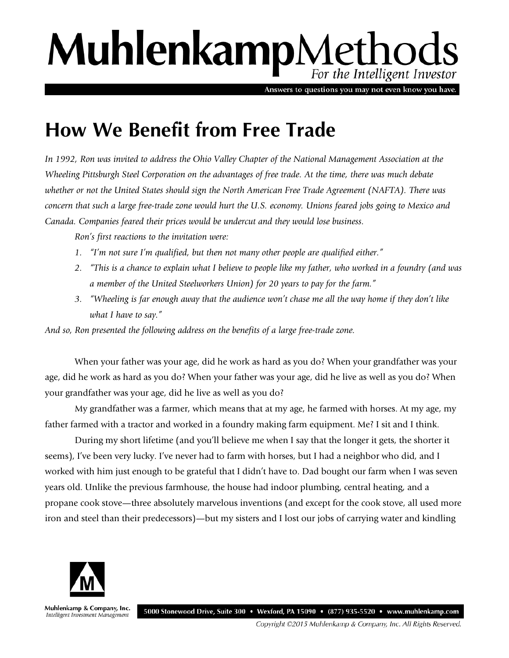## MuhlenkampMethods For the Intelligent Investor

Answers to questions you may not even know you have.

## **How We Benefit from Free Trade**

*In 1992, Ron was invited to address the Ohio Valley Chapter of the National Management Association at the Wheeling Pittsburgh Steel Corporation on the advantages of free trade. At the time, there was much debate whether or not the United States should sign the North American Free Trade Agreement (NAFTA). There was concern that such a large free-trade zone would hurt the U.S. economy. Unions feared jobs going to Mexico and Canada. Companies feared their prices would be undercut and they would lose business.* 

*Ron's first reactions to the invitation were:* 

- *1. "I'm not sure I'm qualified, but then not many other people are qualified either."*
- *2. "This is a chance to explain what I believe to people like my father, who worked in a foundry (and was a member of the United Steelworkers Union) for 20 years to pay for the farm."*
- *3. "Wheeling is far enough away that the audience won't chase me all the way home if they don't like what I have to say."*

*And so, Ron presented the following address on the benefits of a large free-trade zone.* 

When your father was your age, did he work as hard as you do? When your grandfather was your age, did he work as hard as you do? When your father was your age, did he live as well as you do? When your grandfather was your age, did he live as well as you do?

My grandfather was a farmer, which means that at my age, he farmed with horses. At my age, my father farmed with a tractor and worked in a foundry making farm equipment. Me? I sit and I think.

During my short lifetime (and you'll believe me when I say that the longer it gets, the shorter it seems), I've been very lucky. I've never had to farm with horses, but I had a neighbor who did, and I worked with him just enough to be grateful that I didn't have to. Dad bought our farm when I was seven years old. Unlike the previous farmhouse, the house had indoor plumbing, central heating, and a propane cook stove—three absolutely marvelous inventions (and except for the cook stove, all used more iron and steel than their predecessors)—but my sisters and I lost our jobs of carrying water and kindling



Muhlenkamp & Company, Inc. Intelligent Investment Management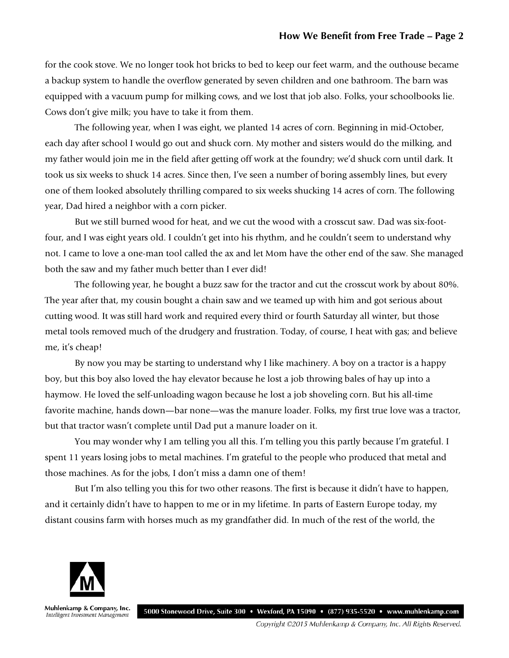for the cook stove. We no longer took hot bricks to bed to keep our feet warm, and the outhouse became a backup system to handle the overflow generated by seven children and one bathroom. The barn was equipped with a vacuum pump for milking cows, and we lost that job also. Folks, your schoolbooks lie. Cows don't give milk; you have to take it from them.

The following year, when I was eight, we planted 14 acres of corn. Beginning in mid-October, each day after school I would go out and shuck corn. My mother and sisters would do the milking, and my father would join me in the field after getting off work at the foundry; we'd shuck corn until dark. It took us six weeks to shuck 14 acres. Since then, I've seen a number of boring assembly lines, but every one of them looked absolutely thrilling compared to six weeks shucking 14 acres of corn. The following year, Dad hired a neighbor with a corn picker.

But we still burned wood for heat, and we cut the wood with a crosscut saw. Dad was six-footfour, and I was eight years old. I couldn't get into his rhythm, and he couldn't seem to understand why not. I came to love a one-man tool called the ax and let Mom have the other end of the saw. She managed both the saw and my father much better than I ever did!

The following year, he bought a buzz saw for the tractor and cut the crosscut work by about 80%. The year after that, my cousin bought a chain saw and we teamed up with him and got serious about cutting wood. It was still hard work and required every third or fourth Saturday all winter, but those metal tools removed much of the drudgery and frustration. Today, of course, I heat with gas; and believe me, it's cheap!

By now you may be starting to understand why I like machinery. A boy on a tractor is a happy boy, but this boy also loved the hay elevator because he lost a job throwing bales of hay up into a haymow. He loved the self-unloading wagon because he lost a job shoveling corn. But his all-time favorite machine, hands down—bar none—was the manure loader. Folks, my first true love was a tractor, but that tractor wasn't complete until Dad put a manure loader on it.

You may wonder why I am telling you all this. I'm telling you this partly because I'm grateful. I spent 11 years losing jobs to metal machines. I'm grateful to the people who produced that metal and those machines. As for the jobs, I don't miss a damn one of them!

But I'm also telling you this for two other reasons. The first is because it didn't have to happen, and it certainly didn't have to happen to me or in my lifetime. In parts of Eastern Europe today, my distant cousins farm with horses much as my grandfather did. In much of the rest of the world, the



Muhlenkamp & Company, Inc. 5000 Stonewood Drive, Suite 300 • Wexford, PA 15090 • (877) 935-5520 • www.muhlenkamp.com Intelligent Investment Management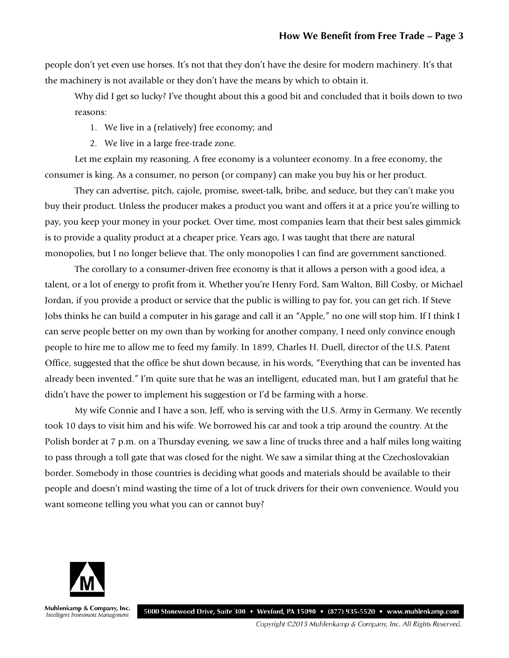people don't yet even use horses. It's not that they don't have the desire for modern machinery. It's that the machinery is not available or they don't have the means by which to obtain it.

Why did I get so lucky? I've thought about this a good bit and concluded that it boils down to two reasons:

- 1. We live in a (relatively) free economy; and
- 2. We live in a large free-trade zone.

Let me explain my reasoning. A free economy is a volunteer economy. In a free economy, the consumer is king. As a consumer, no person (or company) can make you buy his or her product.

They can advertise, pitch, cajole, promise, sweet-talk, bribe, and seduce, but they can't make you buy their product. Unless the producer makes a product you want and offers it at a price you're willing to pay, you keep your money in your pocket. Over time, most companies learn that their best sales gimmick is to provide a quality product at a cheaper price. Years ago, I was taught that there are natural monopolies, but I no longer believe that. The only monopolies I can find are government sanctioned.

The corollary to a consumer-driven free economy is that it allows a person with a good idea, a talent, or a lot of energy to profit from it. Whether you're Henry Ford, Sam Walton, Bill Cosby, or Michael Jordan, if you provide a product or service that the public is willing to pay for, you can get rich. If Steve Jobs thinks he can build a computer in his garage and call it an "Apple," no one will stop him. If I think I can serve people better on my own than by working for another company, I need only convince enough people to hire me to allow me to feed my family. In 1899, Charles H. Duell, director of the U.S. Patent Office, suggested that the office be shut down because, in his words, "Everything that can be invented has already been invented." I'm quite sure that he was an intelligent, educated man, but I am grateful that he didn't have the power to implement his suggestion or I'd be farming with a horse.

My wife Connie and I have a son, Jeff, who is serving with the U.S. Army in Germany. We recently took 10 days to visit him and his wife. We borrowed his car and took a trip around the country. At the Polish border at 7 p.m. on a Thursday evening, we saw a line of trucks three and a half miles long waiting to pass through a toll gate that was closed for the night. We saw a similar thing at the Czechoslovakian border. Somebody in those countries is deciding what goods and materials should be available to their people and doesn't mind wasting the time of a lot of truck drivers for their own convenience. Would you want someone telling you what you can or cannot buy?



Muhlenkamp & Company, Inc. 5000 Stonewood Drive, Suite 300 • Wexford, PA 15090 • (877) 935-5520 • www.muhlenkamp.com Intelligent Investment Management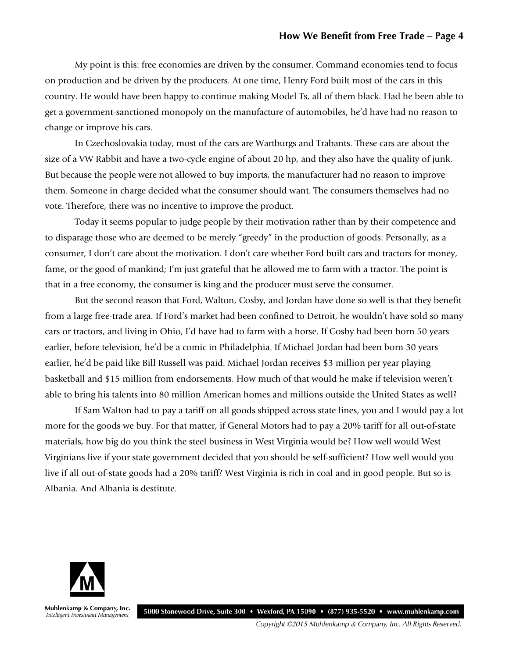My point is this: free economies are driven by the consumer. Command economies tend to focus on production and be driven by the producers. At one time, Henry Ford built most of the cars in this country. He would have been happy to continue making Model Ts, all of them black. Had he been able to get a government-sanctioned monopoly on the manufacture of automobiles, he'd have had no reason to change or improve his cars.

In Czechoslovakia today, most of the cars are Wartburgs and Trabants. These cars are about the size of a VW Rabbit and have a two-cycle engine of about 20 hp, and they also have the quality of junk. But because the people were not allowed to buy imports, the manufacturer had no reason to improve them. Someone in charge decided what the consumer should want. The consumers themselves had no vote. Therefore, there was no incentive to improve the product.

Today it seems popular to judge people by their motivation rather than by their competence and to disparage those who are deemed to be merely "greedy" in the production of goods. Personally, as a consumer, I don't care about the motivation. I don't care whether Ford built cars and tractors for money, fame, or the good of mankind; I'm just grateful that he allowed me to farm with a tractor. The point is that in a free economy, the consumer is king and the producer must serve the consumer.

But the second reason that Ford, Walton, Cosby, and Jordan have done so well is that they benefit from a large free-trade area. If Ford's market had been confined to Detroit, he wouldn't have sold so many cars or tractors, and living in Ohio, I'd have had to farm with a horse. If Cosby had been born 50 years earlier, before television, he'd be a comic in Philadelphia. If Michael Jordan had been born 30 years earlier, he'd be paid like Bill Russell was paid. Michael Jordan receives \$3 million per year playing basketball and \$15 million from endorsements. How much of that would he make if television weren't able to bring his talents into 80 million American homes and millions outside the United States as well?

If Sam Walton had to pay a tariff on all goods shipped across state lines, you and I would pay a lot more for the goods we buy. For that matter, if General Motors had to pay a 20% tariff for all out-of-state materials, how big do you think the steel business in West Virginia would be? How well would West Virginians live if your state government decided that you should be self-sufficient? How well would you live if all out-of-state goods had a 20% tariff? West Virginia is rich in coal and in good people. But so is Albania. And Albania is destitute.



Muhlenkamp & Company, Inc. Intelligent Investment Management

5000 Stonewood Drive, Suite 300 • Wexford, PA 15090 • (877) 935-5520 • www.muhlenkamp.com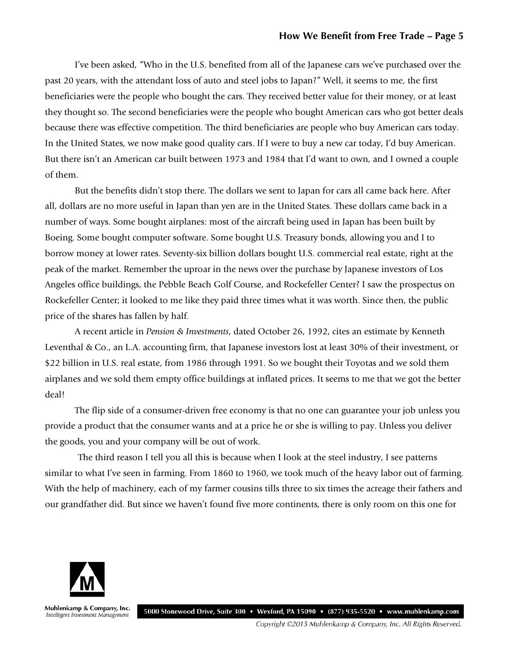I've been asked, "Who in the U.S. benefited from all of the Japanese cars we've purchased over the past 20 years, with the attendant loss of auto and steel jobs to Japan?" Well, it seems to me, the first beneficiaries were the people who bought the cars. They received better value for their money, or at least they thought so. The second beneficiaries were the people who bought American cars who got better deals because there was effective competition. The third beneficiaries are people who buy American cars today. In the United States, we now make good quality cars. If I were to buy a new car today, I'd buy American. But there isn't an American car built between 1973 and 1984 that I'd want to own, and I owned a couple of them.

But the benefits didn't stop there. The dollars we sent to Japan for cars all came back here. After all, dollars are no more useful in Japan than yen are in the United States. These dollars came back in a number of ways. Some bought airplanes: most of the aircraft being used in Japan has been built by Boeing. Some bought computer software. Some bought U.S. Treasury bonds, allowing you and I to borrow money at lower rates. Seventy-six billion dollars bought U.S. commercial real estate, right at the peak of the market. Remember the uproar in the news over the purchase by Japanese investors of Los Angeles office buildings, the Pebble Beach Golf Course, and Rockefeller Center? I saw the prospectus on Rockefeller Center; it looked to me like they paid three times what it was worth. Since then, the public price of the shares has fallen by half.

A recent article in *Pension & Investments*, dated October 26, 1992, cites an estimate by Kenneth Leventhal & Co., an L.A. accounting firm, that Japanese investors lost at least 30% of their investment, or \$22 billion in U.S. real estate, from 1986 through 1991. So we bought their Toyotas and we sold them airplanes and we sold them empty office buildings at inflated prices. It seems to me that we got the better deal!

The flip side of a consumer-driven free economy is that no one can guarantee your job unless you provide a product that the consumer wants and at a price he or she is willing to pay. Unless you deliver the goods, you and your company will be out of work.

 The third reason I tell you all this is because when I look at the steel industry, I see patterns similar to what I've seen in farming. From 1860 to 1960, we took much of the heavy labor out of farming. With the help of machinery, each of my farmer cousins tills three to six times the acreage their fathers and our grandfather did. But since we haven't found five more continents, there is only room on this one for



Muhlenkamp & Company, Inc. Intelligent Investment Management

5000 Stonewood Drive, Suite 300 • Wexford, PA 15090 • (877) 935-5520 • www.muhlenkamp.com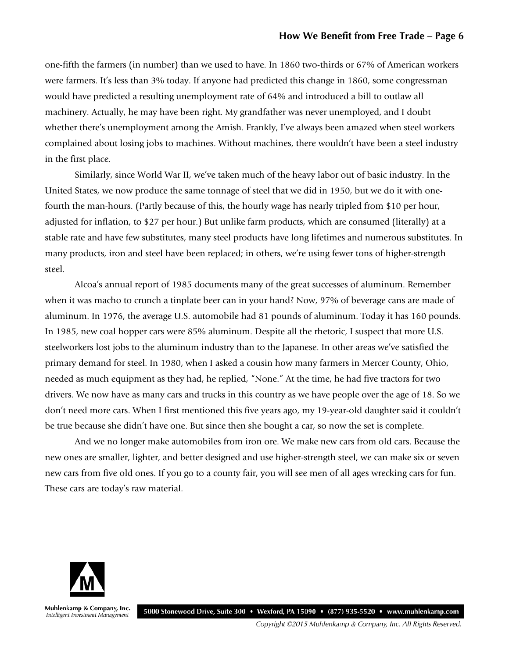one-fifth the farmers (in number) than we used to have. In 1860 two-thirds or 67% of American workers were farmers. It's less than 3% today. If anyone had predicted this change in 1860, some congressman would have predicted a resulting unemployment rate of 64% and introduced a bill to outlaw all machinery. Actually, he may have been right. My grandfather was never unemployed, and I doubt whether there's unemployment among the Amish. Frankly, I've always been amazed when steel workers complained about losing jobs to machines. Without machines, there wouldn't have been a steel industry in the first place.

Similarly, since World War II, we've taken much of the heavy labor out of basic industry. In the United States, we now produce the same tonnage of steel that we did in 1950, but we do it with onefourth the man-hours. (Partly because of this, the hourly wage has nearly tripled from \$10 per hour, adjusted for inflation, to \$27 per hour.) But unlike farm products, which are consumed (literally) at a stable rate and have few substitutes, many steel products have long lifetimes and numerous substitutes. In many products, iron and steel have been replaced; in others, we're using fewer tons of higher-strength steel.

Alcoa's annual report of 1985 documents many of the great successes of aluminum. Remember when it was macho to crunch a tinplate beer can in your hand? Now, 97% of beverage cans are made of aluminum. In 1976, the average U.S. automobile had 81 pounds of aluminum. Today it has 160 pounds. In 1985, new coal hopper cars were 85% aluminum. Despite all the rhetoric, I suspect that more U.S. steelworkers lost jobs to the aluminum industry than to the Japanese. In other areas we've satisfied the primary demand for steel. In 1980, when I asked a cousin how many farmers in Mercer County, Ohio, needed as much equipment as they had, he replied, "None." At the time, he had five tractors for two drivers. We now have as many cars and trucks in this country as we have people over the age of 18. So we don't need more cars. When I first mentioned this five years ago, my 19-year-old daughter said it couldn't be true because she didn't have one. But since then she bought a car, so now the set is complete.

And we no longer make automobiles from iron ore. We make new cars from old cars. Because the new ones are smaller, lighter, and better designed and use higher-strength steel, we can make six or seven new cars from five old ones. If you go to a county fair, you will see men of all ages wrecking cars for fun. These cars are today's raw material.



Muhlenkamp & Company, Inc. Intelligent Investment Management

5000 Stonewood Drive, Suite 300 • Wexford, PA 15090 • (877) 935-5520 • www.muhlenkamp.com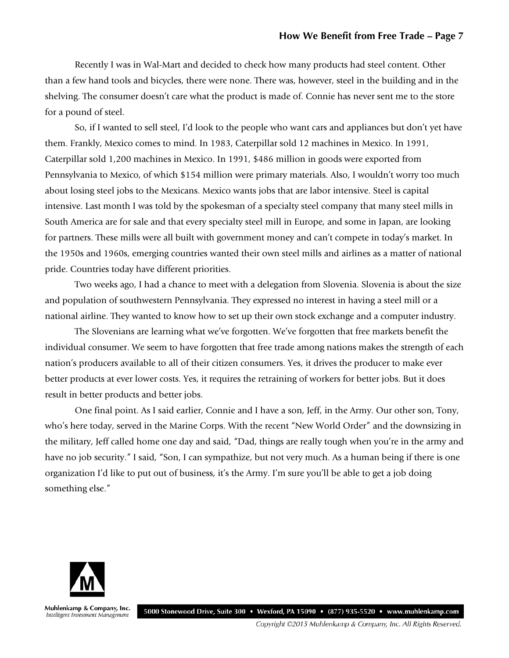Recently I was in Wal-Mart and decided to check how many products had steel content. Other than a few hand tools and bicycles, there were none. There was, however, steel in the building and in the shelving. The consumer doesn't care what the product is made of. Connie has never sent me to the store for a pound of steel.

So, if I wanted to sell steel, I'd look to the people who want cars and appliances but don't yet have them. Frankly, Mexico comes to mind. In 1983, Caterpillar sold 12 machines in Mexico. In 1991, Caterpillar sold 1,200 machines in Mexico. In 1991, \$486 million in goods were exported from Pennsylvania to Mexico, of which \$154 million were primary materials. Also, I wouldn't worry too much about losing steel jobs to the Mexicans. Mexico wants jobs that are labor intensive. Steel is capital intensive. Last month I was told by the spokesman of a specialty steel company that many steel mills in South America are for sale and that every specialty steel mill in Europe, and some in Japan, are looking for partners. These mills were all built with government money and can't compete in today's market. In the 1950s and 1960s, emerging countries wanted their own steel mills and airlines as a matter of national pride. Countries today have different priorities.

Two weeks ago, I had a chance to meet with a delegation from Slovenia. Slovenia is about the size and population of southwestern Pennsylvania. They expressed no interest in having a steel mill or a national airline. They wanted to know how to set up their own stock exchange and a computer industry.

The Slovenians are learning what we've forgotten. We've forgotten that free markets benefit the individual consumer. We seem to have forgotten that free trade among nations makes the strength of each nation's producers available to all of their citizen consumers. Yes, it drives the producer to make ever better products at ever lower costs. Yes, it requires the retraining of workers for better jobs. But it does result in better products and better jobs.

One final point. As I said earlier, Connie and I have a son, Jeff, in the Army. Our other son, Tony, who's here today, served in the Marine Corps. With the recent "New World Order" and the downsizing in the military, Jeff called home one day and said, "Dad, things are really tough when you're in the army and have no job security." I said, "Son, I can sympathize, but not very much. As a human being if there is one organization I'd like to put out of business, it's the Army. I'm sure you'll be able to get a job doing something else."



Muhlenkamp & Company, Inc. Intelligent Investment Management

5000 Stonewood Drive, Suite 300 • Wexford, PA 15090 • (877) 935-5520 • www.muhlenkamp.com